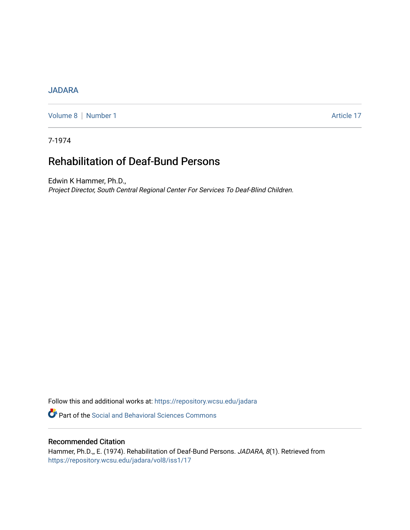## [JADARA](https://repository.wcsu.edu/jadara)

[Volume 8](https://repository.wcsu.edu/jadara/vol8) | [Number 1](https://repository.wcsu.edu/jadara/vol8/iss1) Article 17

7-1974

# Rehabilitation of Deaf-Bund Persons

Edwin K Hammer, Ph.D., Project Director, South Central Regional Center For Services To Deaf-Blind Children.

Follow this and additional works at: [https://repository.wcsu.edu/jadara](https://repository.wcsu.edu/jadara?utm_source=repository.wcsu.edu%2Fjadara%2Fvol8%2Fiss1%2F17&utm_medium=PDF&utm_campaign=PDFCoverPages)

**P** Part of the Social and Behavioral Sciences Commons

## Recommended Citation

Hammer, Ph.D.,, E. (1974). Rehabilitation of Deaf-Bund Persons. JADARA, 8(1). Retrieved from [https://repository.wcsu.edu/jadara/vol8/iss1/17](https://repository.wcsu.edu/jadara/vol8/iss1/17?utm_source=repository.wcsu.edu%2Fjadara%2Fvol8%2Fiss1%2F17&utm_medium=PDF&utm_campaign=PDFCoverPages)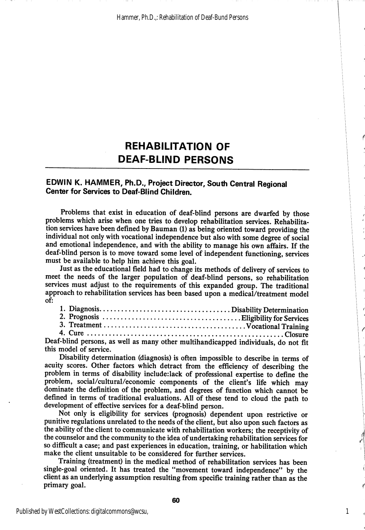## **REHABILITATION OF** DEAF-BUND PERSONS

## EDWIN K. HAMMER, Ph.D., Project Director, South Central Regional Center for Services to Deaf-Blind Children.

Problems that exist in education of deaf-blind persons are dwarfed by those problems which arise when one tries to develop rehabilitation services. Rehabilita tion services have been defined by Bauman (1) as being oriented toward providing the individual not only with vocational independence but also with some degree of social and emotional independence, and with the ability to manage his own affairs. If the deaf-blind person is to move toward some level of independent functioning, services must be available to help him achieve this goal.

Just as the educational field had to change its methods of delivery of services to meet the needs of the larger population of deaf-blind persons, so rehabilitation services must adjust to the requirements of this expanded group. The traditional approach to rehabilitation services has been based upon a medical/treatment model of:

|  |  | $f_{\rm th}$ lind persons as well as many other multihandicanned individuals do not $g_{\rm th}$ |  |
|--|--|--------------------------------------------------------------------------------------------------|--|

Deaf-blind persons, as well as many other multihandicapped individuals, do not fit this model of service.

Disability determination (diagnosis) is often impossible to describe in terms of acuity scores. Other factors which detract from the efficiency of describing the problem in terms of disability include.iack of professional expertise to define the problem, social/cultural/economic components of the client's life which may dominate the definition of the problem, and degrees of function which cannot be defined in terms of traditional evaluations. All of these tend to cloud the path to development of effective services for a deaf-blind person.

Not only is eligibility for services (prognosis) dependent upon restrictive or punitive regulations unrelated to the needs of the client, but also upon such factors as the ability of the client to communicate with rehabilitation workers; the receptivity of the counselor and the community to the idea of undertaking rehabilitation services for so difficult a case; and past experiences in education, training, or habilitation which make the client unsuitable to be considered for further services.

Training (treatment) in the medical method of rehabilitation services has been single-goal oriented. It has treated the "movement toward independence" by the client as an underlying assumption resulting from specific training rather than as the primary goal.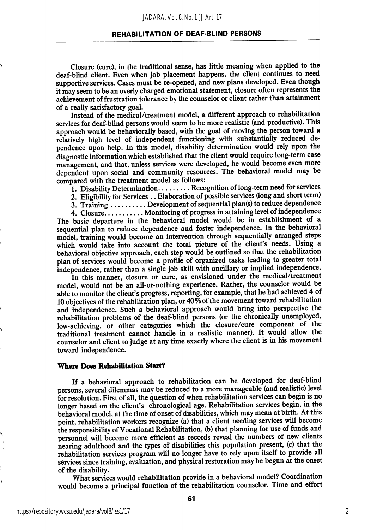#### *JADARA, Vol. 8, No. 1 [], Art. 17*

#### REHABILITATION OF DEAF-BLIND PERSONS

Closure (cure), in the traditional sense, has little meaning when applied to the deaf-blind client. Even when job placement happens, the client continues to need supportive services. Cases must be re-opened, and new plans developed. Even though it may seem to be an overly charged emotional statement, closure often represents the achievement of frustration tolerance by the counselor or client rather than attainment of a really satisfactory goal.

Instead of the medical/treatment model, a different approach to rehabilitation services for deaf-blind persons would seem to be more realistic (and productive). This approach would be behaviorally based, with the goal of moving the person toward a relatively high level of independent functioning with substantially reduced de pendence upon help. In this model, disability determination would rely upon the diagnostic information which established that the client would require long-term case management, and that, unless services were developed, he would become even more dependent upon social and community resources. The behavioral model may be compared with the treatment model as follows:

1. Disability Determination........ Recognition of long-term need for services

- 2. Eligibility for Services . . Elaboration of possible services (long and short term)
- 3. Training  $\ldots$  ....... Development of sequential plan(s) to reduce dependence

4. Closure........... Monitoring of progress in attaining level of independence The basic departure in the behavioral model would be in establishment of a sequential plan to reduce dependence and foster independence. In the behavioral model, training would become an intervention through sequentially arranged steps which would take into account the total picture of the client's needs. Using a behavioral objective approach, each step would be outlined so that the rehabilitation plan of services would become a profile of organized tasks leading to greater total independence, rather than a single job skill with ancillary or implied independence.

In this manner, closure or cure, as envisioned under the medical/treatment model, would not be an all-or-nothing experience. Rather, the counselor would be able to monitor the client's progress, reporting, for example, that he had achieved 4 of 10 objectives of the rehabilitation plan, or  $40\%$  of the movement toward rehabilitation and independence. Such a behavioral approach would bring into perspective the rehabilitation problems of the deaf-blind persons (or the chronically unemployed, low-achieving, or other categories which the closure/cure component of the traditional treatment cannot handle in a realistic manner). It would allow the counselor and client to judge at any time exactly where the client is in his movement toward independence.

## Where Does Rehabilitation Start?

If a behavioral approach to rehabilitation can be developed for deaf-blind persons, several dilemmas may be reduced to a more manageable (and realistic) level for resolution. First of all, the question of when rehabilitation services can begin is no longer based on the client's chronological age. Rehabilitation services begin, in the behavioral model, at the time of onset of disabilities, which may mean at birth. At this point, rehabilitation workers recognize (a) that a client needing services will become the responsibility of Vocational Rehabilitation, (b) that planning for use of funds and personnel will become more efficient as records reveal the numbers of new clients nearing adulthood and the types of disabilities this population present, (c) that the rehabilitation services program will no longer have to rely upon itself to provide all services since training, evaluation, and physical restoration may be begun at the onset of the disability.

What services would rehabilitation provide in a behavioral model? Coordination would become a principal function of the rehabilitation counselor. Time and effort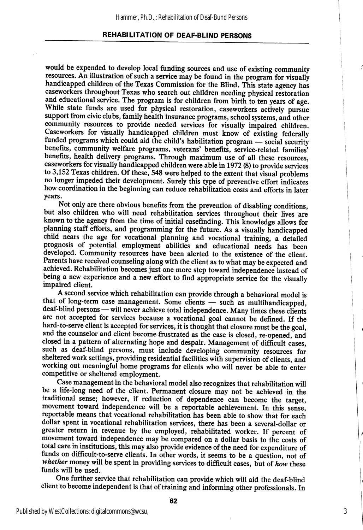## REHABILITATION OF DEAF-BLIND PERSONS

would be expended to develop local funding sources and use of existing community resources. An illustration of such a service may be found in the program for visually handicapped children of the Texas Commission for the Blind. This state agency has caseworkers throughout Texas who search out children needing physical restoration and educational service. The program is for children from birth to ten years of age. While state funds are used for physical restoration, caseworkers actively pursue support from civic clubs, family health insurance programs, school systems, and other community resources to provide needed services for visually impaired children. Caseworkers for visually handicapped children must know of existing federally funded programs which could aid the child's habilitation program — social security benefits, community welfare programs, veterans' benefits, service-related families' benefits, health delivery programs. Through maximum use of all these resources, caseworkers for visually handicapped children were able in 1972 (8) to provide services to 3,152 Texas children. Of these, 548 were helped to the extent that visual problems no longer impeded their development. Surely this type of preventive effort indicates how coordination in the beginning can reduce rehabilitation costs and efforts in later years.

Not only are there obvious benefits from the prevention of disabling conditions, but also children who will need rehabilitation services throughout their lives are known to the agency from the time of initial casefinding. This knowledge allows for planning staff efforts, and programming for the future. As a visually handicapped child nears the age for vocational planning and vocational training, a detailed prognosis of potential employment abilities and educational needs has been developed. Community resources have been alerted to the existence of the client. Parents have received counseling along with the client as to what may be expected and achieved. Rehabilitation becomes just one more step toward independence instead of being a new experience and a new effort to find appropriate service for the visually impaired client.

A second service which rehabilitation can provide through a behavioral model is that of long-term case management. Some clients — such as multihandicapped, deaf-blind persons — will never achieve total independence. Many times these clients are not accepted for services because a vocational goal cannot be defined. If the hard-to-serve client is accepted for services, it is thought that closure must be the goal, and the counselor and client become frustrated as the case is closed, re-opened, and closed in a pattern of alternating hope and despair. Management of difficult cases, such as deaf-blind persons, must include developing community resources for sheltered work settings, providing residential facilities with supervision of clients, and working out meaningful home programs for clients who will never be able to enter competitive or sheltered employment.

Case management in the behavioral model also recognizes that rehabilitation will be a life-long need of the client. Permanent closure may not be achieved in the traditional sense; however, if reduction of dependence can become the target, movement toward independence will be a reportable achievement. In this sense, reportable means that vocational rehabilitation has been able to show that for each dollar spent in vocational rehabilitation services, there has been a several-dollar or greater return in revenue by the employed, rehabilitated worker. If percent of movement toward independence may be compared on a dollar basis to the costs of total care in institutions, this may also provide evidence of the need for expenditure of funds on difficult-to-serve clients. In other words, it seems to be a question, not of whether money will be spent in providing services to difficult cases, but of how these funds will be used.

One further service that rehabilitation can provide which will aid the deaf-blind client to become independent is that of training and informing other professionals. In

Published by WestCollections: digitalcommons@wcsu,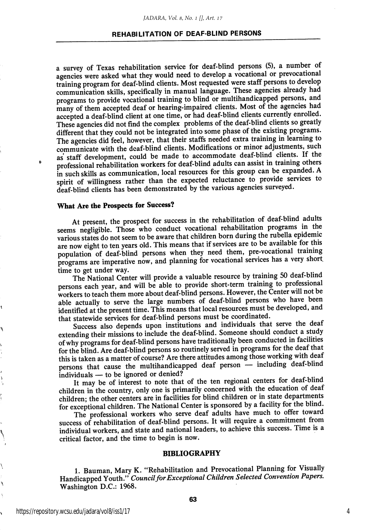### REHABILITATION OF DEAF-BLIND PERSONS

a survey of Texas rehabilitation service for deaf-blind persons (5), a number of agencies were asked what they would need to develop a vocational or prevocational training program for deaf-blind clients. Most requested were staff persons to develop communication skills, specifically in manual language. These agencies already had programs to provide vocational training to blind or multihandicapped persons, and many of them accepted deaf or hearing-impaired clients. Most of the agencies had accepted a deaf-blind client at one time, or had deaf-blind clients currently enrolled. These agencies did not find the complex problems of the deaf-blind clients so greatly different that they could not be integrated into some phase of the existing programs. The agencies did feel, however, that their staffs needed extra training in learning to communicate with the dcaf-blind clients. Modifications or minor adjustments, such as staff development, could be made to accommodate deaf-blind clients. If the professional rehabilitation workers for deaf-blind adults can assist in training others in such skills as communication, local resources for this group can be expanded. A spirit of willingness rather than the expected reluctance to provide services to deaf-blind clients has been demonstrated by the various agencies surveyed.

## What Are the Prospects for Success?

Þ

At present, the prospect for success in the rehabilitation of deaf-blind adults seems negligible. Those who conduct vocational rehabilitation programs in the various states do not seem to be aware that children born during the rubella epidemic are now eight to ten years old. This means that if services are to be available for this population of deaf-blind persons when they need them, pre-vocational training programs are imperative now, and planning for vocational services has a very short.<br>time to get under way. time to get under way.<br> $\frac{1}{2}$  is the under way.

The National Center will provide a valuable resource by training 50 deat-blind persons each year, and will be able to provide short-term training to professional workers to teach them more about deaf-blind persons. However, the Center will not be able actually to serve the large numbers of deaf-blind persons who have been identified at the present time. This means that local resources must be developed, and that statewide services for deaf-blind persons must be coordinated.

Success also depends upon institutions and individuals that serve the deaf extending their missions to include the deaf-blind. Someone should conduct a study of why programs for deaf-blind persons have traditionally been conducted in facilities for the blind. Are deaf-blind persons so routinely served in programs for the deaf that this is taken as a matter of course? Are there attitudes among those working with deaf persons that cause the multihandicapped deaf person — including deaf-blind individuals — to be ignored or denied? individuals — to be ignored or denied?<br>individuals — to be ignored or denied?

It may be of interest to note that of the ten regional centers for deat-bind children in the country, only one is primarily concerned with the education of deaf children; the other centers are in facilities for blind children or in state departments for exceptional children. The National Center is sponsored by a facility for the blind.

The professional workers who serve deaf adults have much to offer toward success of rehabilitation of deaf-blind persons. It will require a commitment from individual workers, and state and national leaders, to achieve this success. Time is a critical factor, and the time to begin is now.

#### BIBLIOGRAPHY

1. Bauman, Mary K. "Rehabilitation and Prevocational Planning for Visually Handicapped Youth." Council for Exceptional Children Selected Convention Papers. Washington D.C.: 1968.